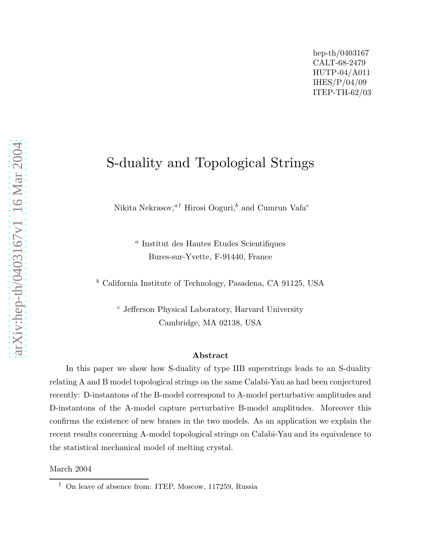# S-duality and Topological Strings

Nikita Nekrasov, $a^{\dagger}$  Hirosi Ooguri, $^b$  and Cumrun Vafa $^c$ 

a Institut des Hautes Etudes Scientifiques Bures-sur-Yvette, F-91440, France

<sup>b</sup> California Institute of Technology, Pasadena, CA 91125, USA

 $c$  Jefferson Physical Laboratory, Harvard University Cambridge, MA 02138, USA

#### Abstract

In this paper we show how S-duality of type IIB superstrings leads to an S-duality relating A and B model topological strings on the same Calabi-Yau as had been conjectured recently: D-instantons of the B-model correspond to A-model perturbative amplitudes and D-instantons of the A-model capture perturbative B-model amplitudes. Moreover this confirms the existence of new branes in the two models. As an application we explain the recent results concerning A-model topological strings on Calabi-Yau and its equivalence to the statistical mechanical model of melting crystal.

March 2004

<sup>†</sup> On leave of absence from: ITEP, Moscow, 117259, Russia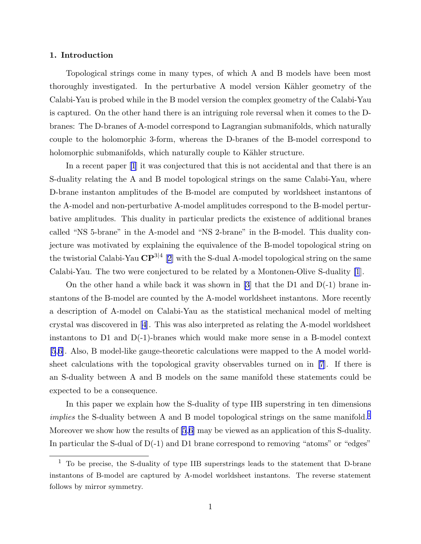# 1. Introduction

Topological strings come in many types, of which A and B models have been most thoroughly investigated. In the perturbative A model version Kähler geometry of the Calabi-Yau is probed while in the B model version the complex geometry of the Calabi-Yau is captured. On the other hand there is an intriguing role reversal when it comes to the Dbranes: The D-branes of A-model correspond to Lagrangian submanifolds, which naturally couple to the holomorphic 3-form, whereas the D-branes of the B-model correspond to holomorphic submanifolds, which naturally couple to Kähler structure.

In a recent paper [\[1](#page-12-0)] it was conjectured that this is not accidental and that there is an S-duality relating the A and B model topological strings on the same Calabi-Yau, where D-brane instanton amplitudes of the B-model are computed by worldsheet instantons of the A-model and non-perturbative A-model amplitudes correspond to the B-model perturbative amplitudes. This duality in particular predicts the existence of additional branes called "NS 5-brane" in the A-model and "NS 2-brane" in the B-model. This duality conjecture was motivated by explaining the equivalence of the B-model topological string on the twistorial Calabi-Yau  $\mathbf{CP}^{3|4}$  [[2\]](#page-12-0) with the S-dual A-model topological string on the same Calabi-Yau. The two were conjectured to be related by a Montonen-Olive S-duality [\[1](#page-12-0)].

On the other hand a while back it was shown in  $|3|$  that the D1 and D(-1) brane instantons of the B-model are counted by the A-model worldsheet instantons. More recently a description of A-model on Calabi-Yau as the statistical mechanical model of melting crystal was discovered in[[4](#page-12-0)]. This was also interpreted as relating the A-model worldsheet instantons to  $D1$  and  $D(-1)$ -branes which would make more sense in a B-model context [\[5](#page-12-0),[6\]](#page-12-0). Also, B model-like gauge-theoretic calculations were mapped to the A model worldsheet calculations with the topological gravity observables turned on in [\[7](#page-12-0)]. If there is an S-duality between A and B models on the same manifold these statements could be expected to be a consequence.

In this paper we explain how the S-duality of type IIB superstring in ten dimensions *implies* the S-duality between A and B model topological strings on the same manifold.<sup>1</sup> Moreover we show how the results of [\[5](#page-12-0),[6\]](#page-12-0) may be viewed as an application of this S-duality. In particular the S-dual of  $D(-1)$  and D1 brane correspond to removing "atoms" or "edges"

<sup>1</sup> To be precise, the S-duality of type IIB superstrings leads to the statement that D-brane instantons of B-model are captured by A-model worldsheet instantons. The reverse statement follows by mirror symmetry.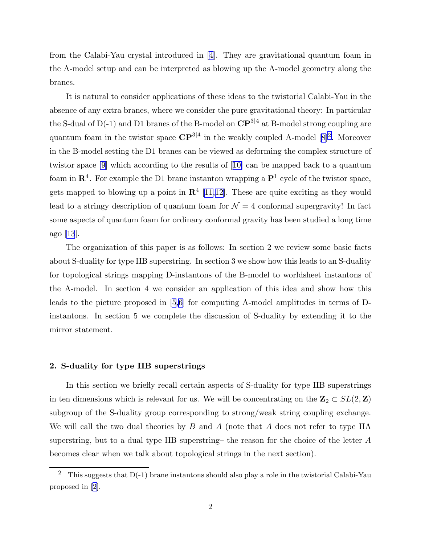from the Calabi-Yau crystal introduced in [\[4](#page-12-0)]. They are gravitational quantum foam in the A-model setup and can be interpreted as blowing up the A-model geometry along the branes.

It is natural to consider applications of these ideas to the twistorial Calabi-Yau in the absence of any extra branes, where we consider the pure gravitational theory: In particular the S-dual of D(-1) and D1 branes of the B-model on  $\mathbf{CP}^{3|4}$  at B-model strong coupling are quantumfoam in the twistor space  $\mathbb{CP}^{3|4}$  in the weakly coupled A-model [[8\]](#page-12-0)<sup>2</sup>. Moreover in the B-model setting the D1 branes can be viewed as deforming the complex structure of twistor space [\[9](#page-12-0)] which according to the results of[[10\]](#page-12-0) can be mapped back to a quantum foam in  $\mathbb{R}^4$ . For example the D1 brane instanton wrapping a  $\mathbb{P}^1$  cycle of the twistor space, gets mapped to blowing up a point in  $\mathbb{R}^4$  [[11,12\]](#page-12-0). These are quite exciting as they would lead to a stringy description of quantum foam for  $\mathcal{N} = 4$  conformal supergravity! In fact some aspects of quantum foam for ordinary conformal gravity has been studied a long time ago [\[13](#page-12-0)].

The organization of this paper is as follows: In section 2 we review some basic facts about S-duality for type IIB superstring. In section 3 we show how this leads to an S-duality for topological strings mapping D-instantons of the B-model to worldsheet instantons of the A-model. In section 4 we consider an application of this idea and show how this leads to the picture proposed in [\[5](#page-12-0),[6\]](#page-12-0) for computing A-model amplitudes in terms of Dinstantons. In section 5 we complete the discussion of S-duality by extending it to the mirror statement.

#### 2. S-duality for type IIB superstrings

In this section we briefly recall certain aspects of S-duality for type IIB superstrings in ten dimensions which is relevant for us. We will be concentrating on the  $\mathbf{Z}_2 \subset SL(2,\mathbf{Z})$ subgroup of the S-duality group corresponding to strong/weak string coupling exchange. We will call the two dual theories by  $B$  and  $A$  (note that  $A$  does not refer to type IIA superstring, but to a dual type IIB superstring– the reason for the choice of the letter A becomes clear when we talk about topological strings in the next section).

<sup>&</sup>lt;sup>2</sup> This suggests that  $D(-1)$  brane instantons should also play a role in the twistorial Calabi-Yau proposed in [\[2\]](#page-12-0).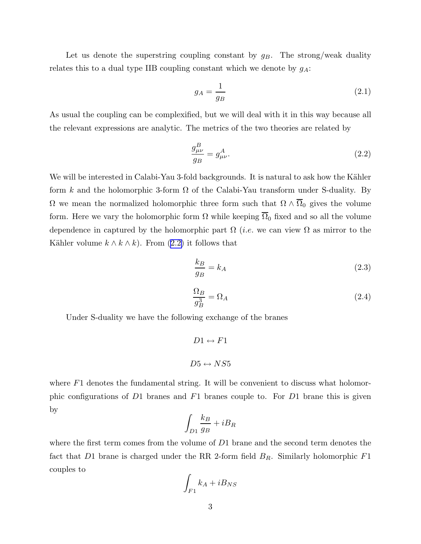<span id="page-3-0"></span>Let us denote the superstring coupling constant by  $g_B$ . The strong/weak duality relates this to a dual type IIB coupling constant which we denote by  $g_A$ :

$$
g_A = \frac{1}{g_B} \tag{2.1}
$$

As usual the coupling can be complexified, but we will deal with it in this way because all the relevant expressions are analytic. The metrics of the two theories are related by

$$
\frac{g_{\mu\nu}^B}{g_B} = g_{\mu\nu}^A.
$$
\n(2.2)

We will be interested in Calabi-Yau 3-fold backgrounds. It is natural to ask how the Kähler form k and the holomorphic 3-form  $\Omega$  of the Calabi-Yau transform under S-duality. By  $\Omega$  we mean the normalized holomorphic three form such that  $\Omega \wedge \overline{\Omega}_0$  gives the volume form. Here we vary the holomorphic form  $\Omega$  while keeping  $\overline{\Omega}_0$  fixed and so all the volume dependence in captured by the holomorphic part  $\Omega$  (*i.e.* we can view  $\Omega$  as mirror to the Kähler volume  $k \wedge k \wedge k$ . From  $(2.2)$  it follows that

$$
\frac{k_B}{g_B} = k_A \tag{2.3}
$$

$$
\frac{\Omega_B}{g_B^3} = \Omega_A \tag{2.4}
$$

Under S-duality we have the following exchange of the branes

$$
D1 \leftrightarrow F1
$$

$$
D5 \leftrightarrow NS5
$$

where  $F1$  denotes the fundamental string. It will be convenient to discuss what holomorphic configurations of D1 branes and F1 branes couple to. For D1 brane this is given by

$$
\int_{D1} \frac{k_B}{g_B} + iB_R
$$

where the first term comes from the volume of D1 brane and the second term denotes the fact that D1 brane is charged under the RR 2-form field  $B_R$ . Similarly holomorphic  $F1$ couples to

$$
\int_{F1} k_A + iB_{NS}
$$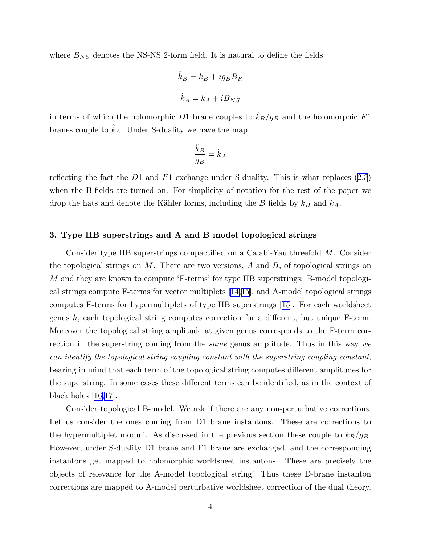where  $B_{NS}$  denotes the NS-NS 2-form field. It is natural to define the fields

$$
\hat{k}_B = k_B + ig_B B_R
$$
  

$$
\hat{k}_A = k_A + i B_{NS}
$$

in terms of which the holomorphic D1 brane couples to  $\hat{k}_B/g_B$  and the holomorphic F1 branes couple to  $\hat{k}_A$ . Under S-duality we have the map

$$
\frac{\hat{k}_B}{g_B} = \hat{k}_A
$$

reflecting the fact the  $D1$  and  $F1$  exchange under S-duality. This is what replaces  $(2.3)$ when the B-fields are turned on. For simplicity of notation for the rest of the paper we drop the hats and denote the Kähler forms, including the B fields by  $k_B$  and  $k_A$ .

# 3. Type IIB superstrings and A and B model topological strings

Consider type IIB superstrings compactified on a Calabi-Yau threefold M. Consider the topological strings on M. There are two versions, A and B, of topological strings on M and they are known to compute 'F-terms' for type IIB superstrings: B-model topological strings compute F-terms for vector multiplets[[14,15\]](#page-12-0), and A-model topological strings computes F-terms for hypermultiplets of type IIB superstrings [\[15](#page-12-0)]. For each worldsheet genus h, each topological string computes correction for a different, but unique F-term. Moreover the topological string amplitude at given genus corresponds to the F-term correction in the superstring coming from the *same* genus amplitude. Thus in this way we can identify the topological string coupling constant with the superstring coupling constant, bearing in mind that each term of the topological string computes different amplitudes for the superstring. In some cases these different terms can be identified, as in the context of black holes[[16,17\]](#page-12-0).

Consider topological B-model. We ask if there are any non-perturbative corrections. Let us consider the ones coming from D1 brane instantons. These are corrections to the hypermultiplet moduli. As discussed in the previous section these couple to  $k_B/g_B$ . However, under S-duality D1 brane and F1 brane are exchanged, and the corresponding instantons get mapped to holomorphic worldsheet instantons. These are precisely the objects of relevance for the A-model topological string! Thus these D-brane instanton corrections are mapped to A-model perturbative worldsheet correction of the dual theory.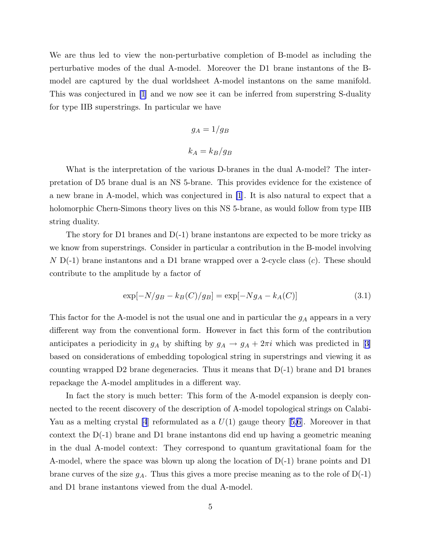<span id="page-5-0"></span>We are thus led to view the non-perturbative completion of B-model as including the perturbative modes of the dual A-model. Moreover the D1 brane instantons of the Bmodel are captured by the dual worldsheet A-model instantons on the same manifold. This was conjectured in [\[1](#page-12-0)] and we now see it can be inferred from superstring S-duality for type IIB superstrings. In particular we have

$$
g_A = 1/g_B
$$
  

$$
k_A = k_B/g_B
$$

What is the interpretation of the various D-branes in the dual A-model? The interpretation of D5 brane dual is an NS 5-brane. This provides evidence for the existence of a new brane in A-model, which was conjectured in [\[1](#page-12-0)]. It is also natural to expect that a holomorphic Chern-Simons theory lives on this NS 5-brane, as would follow from type IIB string duality.

The story for D1 branes and  $D(-1)$  brane instantons are expected to be more tricky as we know from superstrings. Consider in particular a contribution in the B-model involving  $N$  D(-1) brane instantons and a D1 brane wrapped over a 2-cycle class (c). These should contribute to the amplitude by a factor of

$$
\exp[-N/g_B - k_B(C)/g_B] = \exp[-Ng_A - k_A(C)]
$$
\n(3.1)

This factor for the A-model is not the usual one and in particular the  $g_A$  appears in a very different way from the conventional form. However in fact this form of the contribution anticipatesa periodicity in  $g_A$  by shifting by  $g_A \to g_A + 2\pi i$  which was predicted in [[3\]](#page-12-0) based on considerations of embedding topological string in superstrings and viewing it as counting wrapped D2 brane degeneracies. Thus it means that  $D(-1)$  brane and D1 branes repackage the A-model amplitudes in a different way.

In fact the story is much better: This form of the A-model expansion is deeply connected to the recent discovery of the description of A-model topological strings on CalabiYauas a melting crystal |4| reformulated as a  $U(1)$  gauge theory [[5,6](#page-12-0)]. Moreover in that context the D(-1) brane and D1 brane instantons did end up having a geometric meaning in the dual A-model context: They correspond to quantum gravitational foam for the A-model, where the space was blown up along the location of  $D(-1)$  brane points and D1 brane curves of the size  $g_A$ . Thus this gives a more precise meaning as to the role of  $D(-1)$ and D1 brane instantons viewed from the dual A-model.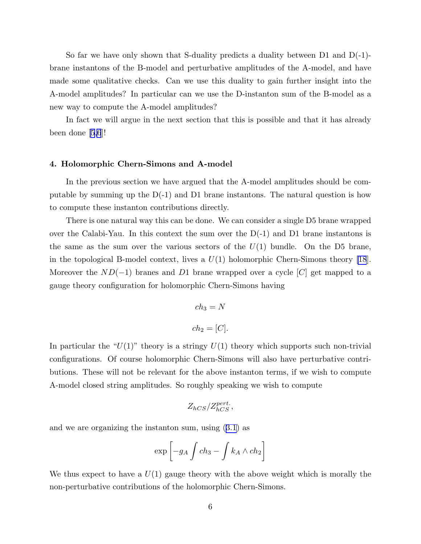So far we have only shown that S-duality predicts a duality between D1 and D(-1) brane instantons of the B-model and perturbative amplitudes of the A-model, and have made some qualitative checks. Can we use this duality to gain further insight into the A-model amplitudes? In particular can we use the D-instanton sum of the B-model as a new way to compute the A-model amplitudes?

In fact we will argue in the next section that this is possible and that it has already been done [\[5,6](#page-12-0)]!

#### 4. Holomorphic Chern-Simons and A-model

In the previous section we have argued that the A-model amplitudes should be computable by summing up the  $D(-1)$  and D1 brane instantons. The natural question is how to compute these instanton contributions directly.

There is one natural way this can be done. We can consider a single D5 brane wrapped over the Calabi-Yau. In this context the sum over the  $D(-1)$  and D1 brane instantons is the same as the sum over the various sectors of the  $U(1)$  bundle. On the D5 brane, in the topological B-model context, lives a  $U(1)$  holomorphic Chern-Simons theory [\[18](#page-12-0)]. Moreover the  $ND(-1)$  branes and D1 brane wrapped over a cycle [C] get mapped to a gauge theory configuration for holomorphic Chern-Simons having

$$
ch_3 = N
$$
  

$$
ch_2 = [C].
$$

In particular the " $U(1)$ " theory is a stringy  $U(1)$  theory which supports such non-trivial configurations. Of course holomorphic Chern-Simons will also have perturbative contributions. These will not be relevant for the above instanton terms, if we wish to compute A-model closed string amplitudes. So roughly speaking we wish to compute

$$
Z_{hCS}/Z_{hCS}^{pert.}\,,
$$

and we are organizing the instanton sum, using([3.1](#page-5-0)) as

$$
\exp\left[-g_A \int ch_3 - \int k_A \wedge ch_2\right]
$$

We thus expect to have a  $U(1)$  gauge theory with the above weight which is morally the non-perturbative contributions of the holomorphic Chern-Simons.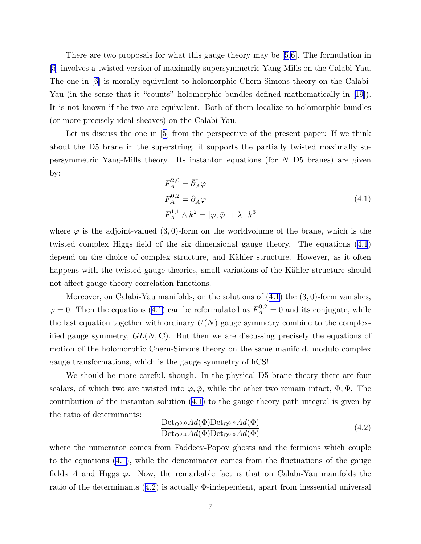There are two proposals for what this gauge theory may be[[5,6](#page-12-0)]. The formulation in [\[5](#page-12-0)] involves a twisted version of maximally supersymmetric Yang-Mills on the Calabi-Yau. The one in [\[6](#page-12-0)] is morally equivalent to holomorphic Chern-Simons theory on the Calabi-Yau(in the sense that it "counts" holomorphic bundles defined mathematically in [[19\]](#page-13-0)). It is not known if the two are equivalent. Both of them localize to holomorphic bundles (or more precisely ideal sheaves) on the Calabi-Yau.

Letus discuss the one in [[5\]](#page-12-0) from the perspective of the present paper: If we think about the D5 brane in the superstring, it supports the partially twisted maximally supersymmetric Yang-Mills theory. Its instanton equations (for N D5 branes) are given by:

$$
F_A^{2,0} = \bar{\partial}_A^{\dagger} \varphi
$$
  
\n
$$
F_A^{0,2} = \partial_A^{\dagger} \bar{\varphi}
$$
  
\n
$$
F_A^{1,1} \wedge k^2 = [\varphi, \bar{\varphi}] + \lambda \cdot k^3
$$
\n(4.1)

where  $\varphi$  is the adjoint-valued (3,0)-form on the worldvolume of the brane, which is the twisted complex Higgs field of the six dimensional gauge theory. The equations (4.1) depend on the choice of complex structure, and Kähler structure. However, as it often happens with the twisted gauge theories, small variations of the Kähler structure should not affect gauge theory correlation functions.

Moreover, on Calabi-Yau manifolds, on the solutions of  $(4.1)$  the  $(3,0)$ -form vanishes,  $\varphi = 0$ . Then the equations (4.1) can be reformulated as  $F_A^{0,2} = 0$  and its conjugate, while the last equation together with ordinary  $U(N)$  gauge symmetry combine to the complexified gauge symmetry,  $GL(N, \mathbb{C})$ . But then we are discussing precisely the equations of motion of the holomorphic Chern-Simons theory on the same manifold, modulo complex gauge transformations, which is the gauge symmetry of hCS!

We should be more careful, though. In the physical D5 brane theory there are four scalars, of which two are twisted into  $\varphi, \bar{\varphi}$ , while the other two remain intact,  $\Phi, \bar{\Phi}$ . The contribution of the instanton solution  $(4.1)$  to the gauge theory path integral is given by the ratio of determinants:

$$
\frac{\text{Det}_{\Omega^{0,0}}Ad(\Phi)\text{Det}_{\Omega^{0,2}}Ad(\Phi)}{\text{Det}_{\Omega^{0,1}}Ad(\Phi)\text{Det}_{\Omega^{0,3}}Ad(\Phi)}
$$
(4.2)

where the numerator comes from Faddeev-Popov ghosts and the fermions which couple to the equations (4.1), while the denominator comes from the fluctuations of the gauge fields A and Higgs  $\varphi$ . Now, the remarkable fact is that on Calabi-Yau manifolds the ratio of the determinants  $(4.2)$  is actually  $\Phi$ -independent, apart from inessential universal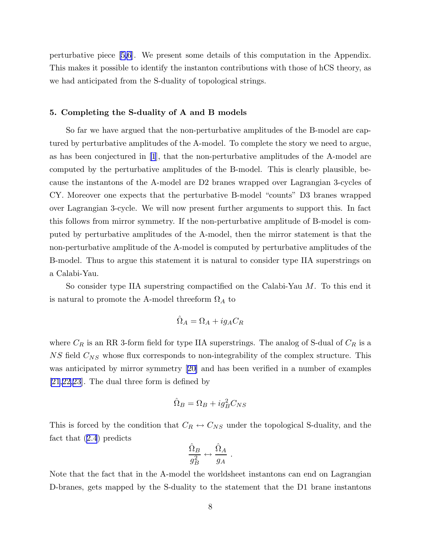perturbative piece[[5,6](#page-12-0)]. We present some details of this computation in the Appendix. This makes it possible to identify the instanton contributions with those of hCS theory, as we had anticipated from the S-duality of topological strings.

# 5. Completing the S-duality of A and B models

So far we have argued that the non-perturbative amplitudes of the B-model are captured by perturbative amplitudes of the A-model. To complete the story we need to argue, as has been conjectured in [\[1](#page-12-0)], that the non-perturbative amplitudes of the A-model are computed by the perturbative amplitudes of the B-model. This is clearly plausible, because the instantons of the A-model are D2 branes wrapped over Lagrangian 3-cycles of CY. Moreover one expects that the perturbative B-model "counts" D3 branes wrapped over Lagrangian 3-cycle. We will now present further arguments to support this. In fact this follows from mirror symmetry. If the non-perturbative amplitude of B-model is computed by perturbative amplitudes of the A-model, then the mirror statement is that the non-perturbative amplitude of the A-model is computed by perturbative amplitudes of the B-model. Thus to argue this statement it is natural to consider type IIA superstrings on a Calabi-Yau.

So consider type IIA superstring compactified on the Calabi-Yau M. To this end it is natural to promote the A-model threeform  $\Omega_A$  to

$$
\hat{\Omega}_A = \Omega_A + ig_A C_R
$$

where  $C_R$  is an RR 3-form field for type IIA superstrings. The analog of S-dual of  $C_R$  is a  $NS$  field  $C_{NS}$  whose flux corresponds to non-integrability of the complex structure. This was anticipated by mirror symmetry[[20\]](#page-13-0) and has been verified in a number of examples [\[21](#page-13-0),[22,23](#page-13-0)]. The dual three form is defined by

$$
\hat{\Omega}_B = \Omega_B + ig_B^2 C_{NS}
$$

This is forced by the condition that  $C_R \leftrightarrow C_{NS}$  under the topological S-duality, and the fact that [\(2.4](#page-3-0)) predicts

$$
\frac{\hat{\Omega}_B}{g_B^2} \leftrightarrow \frac{\hat{\Omega}_A}{g_A} \ .
$$

Note that the fact that in the A-model the worldsheet instantons can end on Lagrangian D-branes, gets mapped by the S-duality to the statement that the D1 brane instantons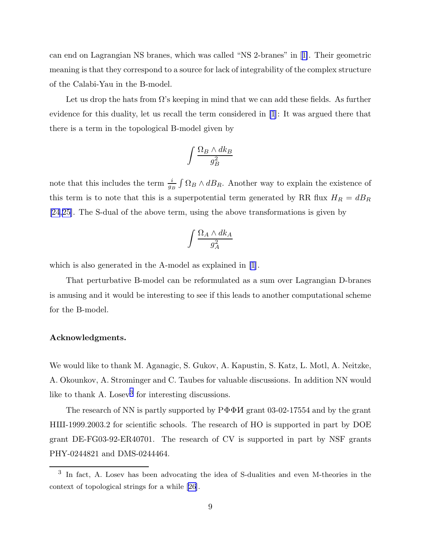can end on Lagrangian NS branes, which was called "NS 2-branes" in[[1\]](#page-12-0). Their geometric meaning is that they correspond to a source for lack of integrability of the complex structure of the Calabi-Yau in the B-model.

Let us drop the hats from  $\Omega$ 's keeping in mind that we can add these fields. As further evidence for this duality, let us recall the term considered in [\[1](#page-12-0)]: It was argued there that there is a term in the topological B-model given by

$$
\int \frac{\Omega_B \wedge dk_B}{g_B^2}
$$

note that this includes the term  $\frac{i}{g_B} \int \Omega_B \wedge dB_R$ . Another way to explain the existence of this term is to note that this is a superpotential term generated by RR flux  $H_R = dB_R$ [\[24](#page-13-0),[25\]](#page-13-0). The S-dual of the above term, using the above transformations is given by

$$
\int \frac{\Omega_A \wedge dk_A}{g_A^2}
$$

which is also generated in the A-model as explained in  $|1|$ .

That perturbative B-model can be reformulated as a sum over Lagrangian D-branes is amusing and it would be interesting to see if this leads to another computational scheme for the B-model.

# Acknowledgments.

We would like to thank M. Aganagic, S. Gukov, A. Kapustin, S. Katz, L. Motl, A. Neitzke, A. Okounkov, A. Strominger and C. Taubes for valuable discussions. In addition NN would like to thank A. Losev<sup>3</sup> for interesting discussions.

The research of NN is partly supported by  $P\Phi\Phi H$  grant 03-02-17554 and by the grant HIII-1999.2003.2 for scientific schools. The research of HO is supported in part by DOE grant DE-FG03-92-ER40701. The research of CV is supported in part by NSF grants PHY-0244821 and DMS-0244464.

<sup>&</sup>lt;sup>3</sup> In fact, A. Losev has been advocating the idea of S-dualities and even M-theories in the context of topological strings for a while [\[26](#page-13-0)].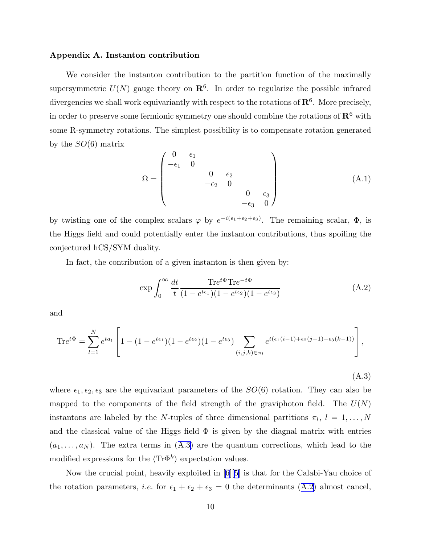## Appendix A. Instanton contribution

We consider the instanton contribution to the partition function of the maximally supersymmetric  $U(N)$  gauge theory on  $\mathbb{R}^6$ . In order to regularize the possible infrared divergencies we shall work equivariantly with respect to the rotations of  $\mathbf{R}^6$ . More precisely, in order to preserve some fermionic symmetry one should combine the rotations of  $\mathbb{R}^6$  with some R-symmetry rotations. The simplest possibility is to compensate rotation generated by the  $SO(6)$  matrix

$$
\Omega = \begin{pmatrix}\n0 & \epsilon_1 & & & & \\
-\epsilon_1 & 0 & & & & \\
 & & 0 & \epsilon_2 & & \\
 & & -\epsilon_2 & 0 & & \\
 & & & & 0 & \epsilon_3 \\
 & & & & -\epsilon_3 & 0\n\end{pmatrix}
$$
\n(A.1)

by twisting one of the complex scalars  $\varphi$  by  $e^{-i(\epsilon_1+\epsilon_2+\epsilon_3)}$ . The remaining scalar,  $\Phi$ , is the Higgs field and could potentially enter the instanton contributions, thus spoiling the conjectured hCS/SYM duality.

In fact, the contribution of a given instanton is then given by:

$$
\exp\int_0^\infty \frac{dt}{t} \frac{\text{Tr}e^{t\Phi}\text{Tr}e^{-t\Phi}}{(1 - e^{t\epsilon_1})(1 - e^{t\epsilon_2})(1 - e^{t\epsilon_3})}\tag{A.2}
$$

and

$$
\mathrm{Tr}e^{t\Phi} = \sum_{l=1}^{N} e^{ta_l} \left[ 1 - (1 - e^{t\epsilon_1})(1 - e^{t\epsilon_2})(1 - e^{t\epsilon_3}) \sum_{(i,j,k)\in\pi_l} e^{t(\epsilon_1(i-1) + \epsilon_2(j-1) + \epsilon_3(k-1))} \right],
$$

(A.3)

where  $\epsilon_1, \epsilon_2, \epsilon_3$  are the equivariant parameters of the  $SO(6)$  rotation. They can also be mapped to the components of the field strength of the graviphoton field. The  $U(N)$ instantons are labeled by the N-tuples of three dimensional partitions  $\pi_l$ ,  $l = 1, \ldots, N$ and the classical value of the Higgs field  $\Phi$  is given by the diagnal matrix with entries  $(a_1, \ldots, a_N)$ . The extra terms in  $(A.3)$  are the quantum corrections, which lead to the modified expressions for the  $\langle \text{Tr}\Phi^k \rangle$  expectation values.

Now the crucial point, heavily exploited in [\[6](#page-12-0)][[5\]](#page-12-0) is that for the Calabi-Yau choice of the rotation parameters, *i.e.* for  $\epsilon_1 + \epsilon_2 + \epsilon_3 = 0$  the determinants (A.2) almost cancel,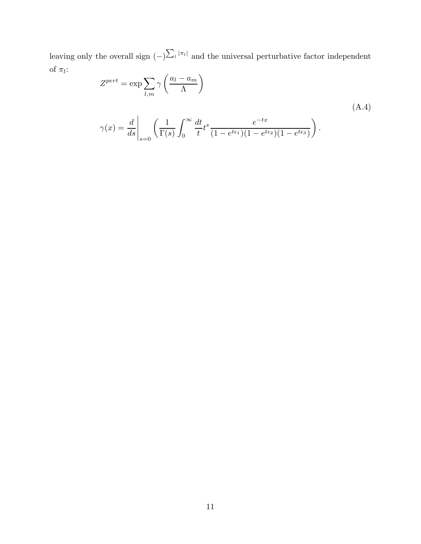leaving only the overall sign  $(-) \sum_{l} |\pi_l|$  and the universal perturbative factor independent of  $\pi_l$ :

$$
Z^{pert} = \exp \sum_{l,m} \gamma \left(\frac{a_l - a_m}{\Lambda}\right)
$$
  

$$
\gamma(x) = \frac{d}{ds} \bigg|_{s=0} \left(\frac{1}{\Gamma(s)} \int_0^\infty \frac{dt}{t} t^s \frac{e^{-tx}}{(1 - e^{t\epsilon_1})(1 - e^{t\epsilon_2})(1 - e^{t\epsilon_3})}\right).
$$
 (A.4)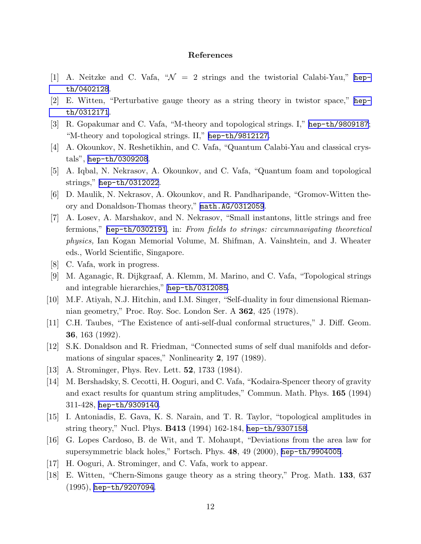# References

- <span id="page-12-0"></span>[1] A. Neitzke and C. Vafa,  $\mathcal{W} = 2$  strings and the twistorial Calabi-Yau," [hep](http://arXiv.org/abs/hep-th/0402128)[th/0402128](http://arXiv.org/abs/hep-th/0402128).
- [2] E. Witten, "Perturbative gauge theory as a string theory in twistor space," [hep](http://arXiv.org/abs/hep-th/0312171)[th/0312171](http://arXiv.org/abs/hep-th/0312171).
- [3] R. Gopakumar and C. Vafa, "M-theory and topological strings. I," [hep-th/9809187](http://arXiv.org/abs/hep-th/9809187); "M-theory and topological strings. II," [hep-th/9812127](http://arXiv.org/abs/hep-th/9812127).
- [4] A. Okounkov, N. Reshetikhin, and C. Vafa, "Quantum Calabi-Yau and classical crystals", [hep-th/0309208](http://arXiv.org/abs/hep-th/0309208).
- [5] A. Iqbal, N. Nekrasov, A. Okounkov, and C. Vafa, "Quantum foam and topological strings," [hep-th/0312022](http://arXiv.org/abs/hep-th/0312022).
- [6] D. Maulik, N. Nekrasov, A. Okounkov, and R. Pandharipande, "Gromov-Witten theory and Donaldson-Thomas theory," [math.AG/0312059](http://arXiv.org/abs/math/0312059).
- [7] A. Losev, A. Marshakov, and N. Nekrasov, "Small instantons, little strings and free fermions," [hep-th/0302191](http://arXiv.org/abs/hep-th/0302191), in: From fields to strings: circumnavigating theoretical physics, Ian Kogan Memorial Volume, M. Shifman, A. Vainshtein, and J. Wheater eds., World Scientific, Singapore.
- [8] C. Vafa, work in progress.
- [9] M. Aganagic, R. Dijkgraaf, A. Klemm, M. Marino, and C. Vafa, "Topological strings and integrable hierarchies," [hep-th/0312085](http://arXiv.org/abs/hep-th/0312085).
- [10] M.F. Atiyah, N.J. Hitchin, and I.M. Singer, "Self-duality in four dimensional Riemannian geometry," Proc. Roy. Soc. London Ser. A 362, 425 (1978).
- [11] C.H. Taubes, "The Existence of anti-self-dual conformal structures," J. Diff. Geom. 36, 163 (1992).
- [12] S.K. Donaldson and R. Friedman, "Connected sums of self dual manifolds and deformations of singular spaces," Nonlinearity 2, 197 (1989).
- [13] A. Strominger, Phys. Rev. Lett. **52**, 1733 (1984).
- [14] M. Bershadsky, S. Cecotti, H. Ooguri, and C. Vafa, "Kodaira-Spencer theory of gravity and exact results for quantum string amplitudes," Commun. Math. Phys. 165 (1994) 311-428, [hep-th/9309140](http://arXiv.org/abs/hep-th/9309140).
- [15] I. Antoniadis, E. Gava, K. S. Narain, and T. R. Taylor, "topological amplitudes in string theory," Nucl. Phys. B413 (1994) 162-184, [hep-th/9307158](http://arXiv.org/abs/hep-th/9307158).
- [16] G. Lopes Cardoso, B. de Wit, and T. Mohaupt, "Deviations from the area law for supersymmetric black holes," Fortsch. Phys. 48, 49 (2000), [hep-th/9904005](http://arXiv.org/abs/hep-th/9904005).
- [17] H. Ooguri, A. Strominger, and C. Vafa, work to appear.
- [18] E. Witten, "Chern-Simons gauge theory as a string theory," Prog. Math. 133, 637 (1995), [hep-th/9207094](http://arXiv.org/abs/hep-th/9207094).